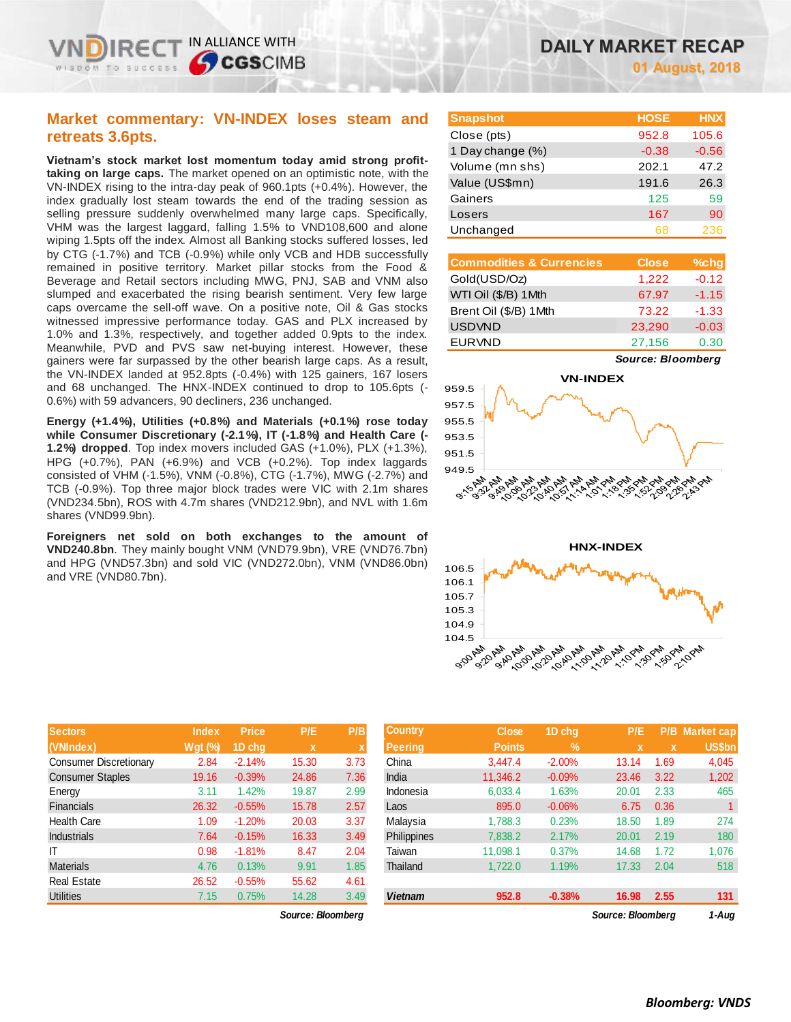IN ALLIANCE WITH

**SCGSCIMB** 

**Vietnam's stock market lost momentum today amid strong profittaking on large caps.** The market opened on an optimistic note, with the VN-INDEX rising to the intra-day peak of 960.1pts (+0.4%). However, the index gradually lost steam towards the end of the trading session as selling pressure suddenly overwhelmed many large caps. Specifically, VHM was the largest laggard, falling 1.5% to VND108,600 and alone wiping 1.5pts off the index. Almost all Banking stocks suffered losses, led by CTG (-1.7%) and TCB (-0.9%) while only VCB and HDB successfully remained in positive territory. Market pillar stocks from the Food & Beverage and Retail sectors including MWG, PNJ, SAB and VNM also slumped and exacerbated the rising bearish sentiment. Very few large caps overcame the sell-off wave. On a positive note, Oil & Gas stocks witnessed impressive performance today. GAS and PLX increased by 1.0% and 1.3%, respectively, and together added 0.9pts to the index. Meanwhile, PVD and PVS saw net-buying interest. However, these gainers were far surpassed by the other bearish large caps. As a result, the VN-INDEX landed at 952.8pts (-0.4%) with 125 gainers, 167 losers and 68 unchanged. The HNX-INDEX continued to drop to 105.6pts (- 0.6%) with 59 advancers, 90 decliners, 236 unchanged.

**Energy (+1.4%), Utilities (+0.8%) and Materials (+0.1%) rose today while Consumer Discretionary (-2.1%), IT (-1.8%) and Health Care (- 1.2%) dropped**. Top index movers included GAS (+1.0%), PLX (+1.3%), HPG (+0.7%), PAN (+6.9%) and VCB (+0.2%). Top index laggards consisted of VHM (-1.5%), VNM (-0.8%), CTG (-1.7%), MWG (-2.7%) and TCB (-0.9%). Top three major block trades were VIC with 2.1m shares (VND234.5bn), ROS with 4.7m shares (VND212.9bn), and NVL with 1.6m shares (VND99.9bn).

**Foreigners net sold on both exchanges to the amount of VND240.8bn**. They mainly bought VNM (VND79.9bn), VRE (VND76.7bn) and HPG (VND57.3bn) and sold VIC (VND272.0bn), VNM (VND86.0bn) and VRE (VND80.7bn).

| <b>DAILY MARKET RECAP</b> |
|---------------------------|
| <b>01 August, 2018</b>    |

| <b>Snapshot</b>  | <b>HOSE</b> | <b>HNX</b> |
|------------------|-------------|------------|
| Close (pts)      | 952.8       | 105.6      |
| 1 Day change (%) | $-0.38$     | $-0.56$    |
| Volume (mn shs)  | 202.1       | 47.2       |
| Value (US\$mn)   | 191.6       | 26.3       |
| Gainers          | 125         | 59         |
| Losers           | 167         | 90         |
| Unchanged        | 68          | 236        |

| <b>Commodities &amp; Currencies</b> | <b>Close</b> | $%$ chg |
|-------------------------------------|--------------|---------|
| Gold(USD/Oz)                        | 1,222        | $-0.12$ |
| WTI Oil (\$/B) 1Mth                 | 67.97        | $-1.15$ |
| Brent Oil (\$/B) 1Mth               | 73.22        | $-1.33$ |
| <b>USDVND</b>                       | 23,290       | $-0.03$ |
| <b>EURVND</b>                       | 27,156       | 0.30    |







| <b>Sectors</b>                | <b>Index</b> | <b>Price</b> | P/E         | P/B         |
|-------------------------------|--------------|--------------|-------------|-------------|
| (VNIndex)                     | $Wgt$ (%)    | 1D chg       | $\mathbf x$ | $\mathbf x$ |
| <b>Consumer Discretionary</b> | 2.84         | $-2.14%$     | 15.30       | 3.73        |
| <b>Consumer Staples</b>       | 19.16        | $-0.39%$     | 24.86       | 7.36        |
| Energy                        | 3.11         | 1.42%        | 19.87       | 2.99        |
| <b>Financials</b>             | 26.32        | $-0.55%$     | 15.78       | 2.57        |
| <b>Health Care</b>            | 1.09         | $-1.20%$     | 20.03       | 3.37        |
| <b>Industrials</b>            | 7.64         | $-0.15%$     | 16.33       | 3.49        |
| ΙT                            | 0.98         | $-1.81%$     | 8.47        | 2.04        |
| <b>Materials</b>              | 4.76         | 0.13%        | 9.91        | 1.85        |
| <b>Real Estate</b>            | 26.52        | $-0.55%$     | 55.62       | 4.61        |
| <b>Utilities</b>              | 7.15         | 0.75%        | 14.28       | 3.49        |

| <b>Sectors</b>          | <b>Index</b>   | <b>Price</b> | P/E         | P/B  | <b>Country</b> | <b>Close</b>  | 1D chq     | P/E               |      | P/B Market cap |
|-------------------------|----------------|--------------|-------------|------|----------------|---------------|------------|-------------------|------|----------------|
| (VNIndex)               | <b>Wgt (%)</b> | 1D chq       | $\mathbf x$ |      | <b>Peering</b> | <b>Points</b> | $\sqrt{2}$ |                   |      | <b>US\$bn</b>  |
| Consumer Discretionary  | 2.84           | $-2.14%$     | 15.30       | 3.73 | China          | 3.447.4       | $-2.00%$   | 13.14             | 1.69 | 4,045          |
| <b>Consumer Staples</b> | 19.16          | $-0.39%$     | 24.86       | 7.36 | India          | 11.346.2      | $-0.09%$   | 23.46             | 3.22 | 1,202          |
| Energy                  | 3.11           | 1.42%        | 19.87       | 2.99 | Indonesia      | 6,033.4       | 1.63%      | 20.01             | 2.33 | 465            |
| <b>Financials</b>       | 26.32          | $-0.55%$     | 15.78       | 2.57 | Laos           | 895.0         | $-0.06%$   | 6.75              | 0.36 |                |
| Health Care             | 1.09           | $-1.20%$     | 20.03       | 3.37 | Malaysia       | 1,788.3       | 0.23%      | 18.50             | 1.89 | 274            |
| Industrials             | 7.64           | $-0.15%$     | 16.33       | 3.49 | Philippines    | 7,838.2       | 2.17%      | 20.01             | 2.19 | 180            |
| IΤ                      | 0.98           | $-1.81%$     | 8.47        | 2.04 | Taiwan         | 11.098.1      | 0.37%      | 14.68             | 1.72 | 1,076          |
| <b>Materials</b>        | 4.76           | 0.13%        | 9.91        | 1.85 | Thailand       | 1.722.0       | 1.19%      | 17.33             | 2.04 | 518            |
| Real Estate             | 26.52          | $-0.55%$     | 55.62       | 4.61 |                |               |            |                   |      |                |
| <b>Utilities</b>        | 7.15           | 0.75%        | 14.28       | 3.49 | <b>Vietnam</b> | 952.8         | $-0.38%$   | 16.98             | 2.55 | 131            |
| Source: Bloomberg       |                |              |             |      |                |               |            | Source: Bloomberg |      | 1-Aug          |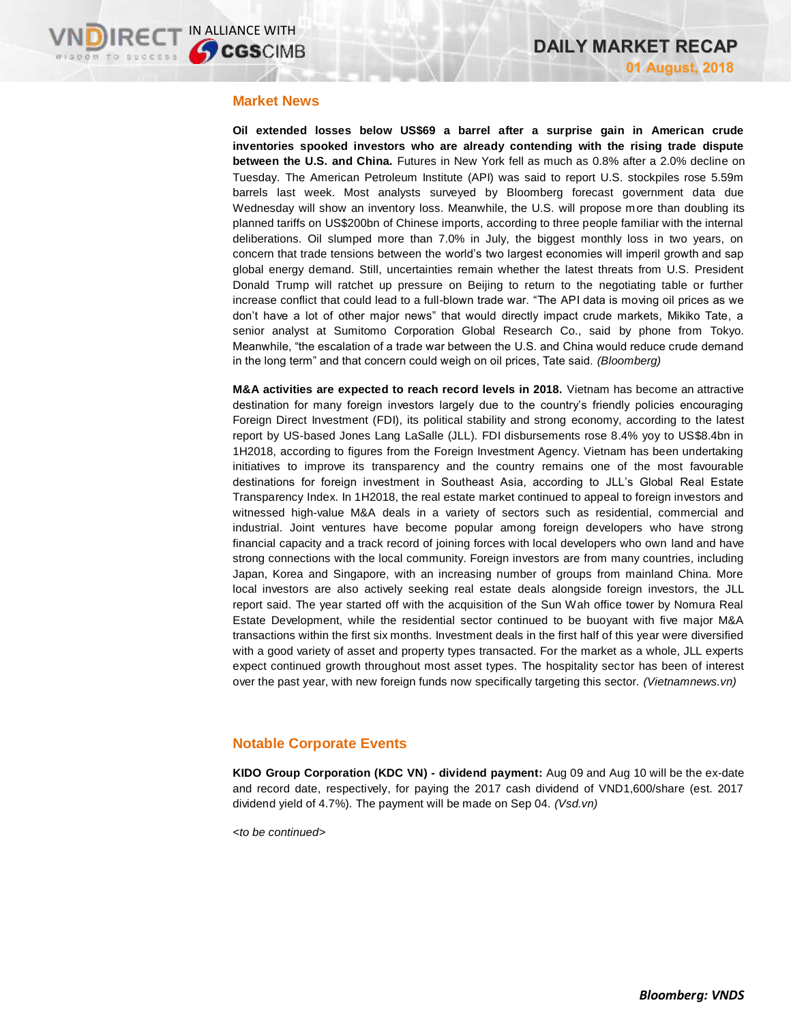## **Market News**

**Oil extended losses below US\$69 a barrel after a surprise gain in American crude inventories spooked investors who are already contending with the rising trade dispute between the U.S. and China.** Futures in New York fell as much as 0.8% after a 2.0% decline on Tuesday. The American Petroleum Institute (API) was said to report U.S. stockpiles rose 5.59m barrels last week. Most analysts surveyed by Bloomberg forecast government data due Wednesday will show an inventory loss. Meanwhile, the U.S. will propose more than doubling its planned tariffs on US\$200bn of Chinese imports, according to three people familiar with the internal deliberations. Oil slumped more than 7.0% in July, the biggest monthly loss in two years, on concern that trade tensions between the world's two largest economies will imperil growth and sap global energy demand. Still, uncertainties remain whether the latest threats from U.S. President Donald Trump will ratchet up pressure on Beijing to return to the negotiating table or further increase conflict that could lead to a full-blown trade war. "The API data is moving oil prices as we don't have a lot of other major news" that would directly impact crude markets, Mikiko Tate, a senior analyst at Sumitomo Corporation Global Research Co., said by phone from Tokyo. Meanwhile, "the escalation of a trade war between the U.S. and China would reduce crude demand in the long term" and that concern could weigh on oil prices, Tate said. *(Bloomberg)*

**M&A activities are expected to reach record levels in 2018.** Vietnam has become an attractive destination for many foreign investors largely due to the country's friendly policies encouraging Foreign Direct Investment (FDI), its political stability and strong economy, according to the latest report by US-based Jones Lang LaSalle (JLL). FDI disbursements rose 8.4% yoy to US\$8.4bn in 1H2018, according to figures from the Foreign Investment Agency. Vietnam has been undertaking initiatives to improve its transparency and the country remains one of the most favourable destinations for foreign investment in Southeast Asia, according to JLL's Global Real Estate Transparency Index. In 1H2018, the real estate market continued to appeal to foreign investors and witnessed high-value M&A deals in a variety of sectors such as residential, commercial and industrial. Joint ventures have become popular among foreign developers who have strong financial capacity and a track record of joining forces with local developers who own land and have strong connections with the local community. Foreign investors are from many countries, including Japan, Korea and Singapore, with an increasing number of groups from mainland China. More local investors are also actively seeking real estate deals alongside foreign investors, the JLL report said. The year started off with the acquisition of the Sun Wah office tower by Nomura Real Estate Development, while the residential sector continued to be buoyant with five major M&A transactions within the first six months. Investment deals in the first half of this year were diversified with a good variety of asset and property types transacted. For the market as a whole, JLL experts expect continued growth throughout most asset types. The hospitality sector has been of interest over the past year, with new foreign funds now specifically targeting this sector. *(Vietnamnews.vn)*

## **Notable Corporate Events**

**KIDO Group Corporation (KDC VN) - dividend payment:** Aug 09 and Aug 10 will be the ex-date and record date, respectively, for paying the 2017 cash dividend of VND1,600/share (est. 2017 dividend yield of 4.7%). The payment will be made on Sep 04. *(Vsd.vn)*

*<to be continued>*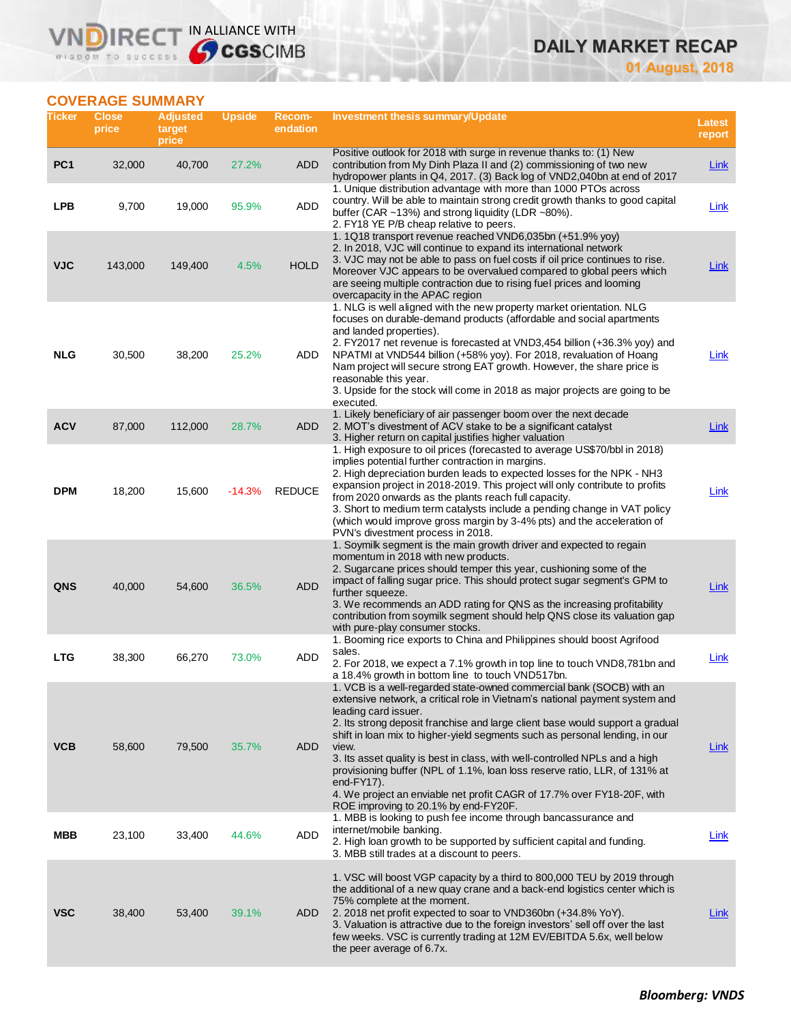# **DAILY MARKET RECAP**

**01 August, 2018**

# **COVERAGE SUMMARY**

WISDOM TO SUCCESS

**IRECT** 

VND

IN ALLIANCE WITH

| Ticker          | <b>Close</b><br>price | <b>Adjusted</b><br>target<br>price | <b>Upside</b> | Recom-<br>endation | Investment thesis summary/Update                                                                                                                                                                                                                                                                                                                                                                                                                                                                                                                                                                                                                      | Latest<br>report |
|-----------------|-----------------------|------------------------------------|---------------|--------------------|-------------------------------------------------------------------------------------------------------------------------------------------------------------------------------------------------------------------------------------------------------------------------------------------------------------------------------------------------------------------------------------------------------------------------------------------------------------------------------------------------------------------------------------------------------------------------------------------------------------------------------------------------------|------------------|
| PC <sub>1</sub> | 32,000                | 40,700                             | 27.2%         | ADD                | Positive outlook for 2018 with surge in revenue thanks to: (1) New<br>contribution from My Dinh Plaza II and (2) commissioning of two new<br>hydropower plants in Q4, 2017. (3) Back log of VND2,040bn at end of 2017                                                                                                                                                                                                                                                                                                                                                                                                                                 | <b>Link</b>      |
| LPB             | 9,700                 | 19,000                             | 95.9%         | <b>ADD</b>         | 1. Unique distribution advantage with more than 1000 PTOs across<br>country. Will be able to maintain strong credit growth thanks to good capital<br>buffer (CAR ~13%) and strong liquidity (LDR ~80%).<br>2. FY18 YE P/B cheap relative to peers.                                                                                                                                                                                                                                                                                                                                                                                                    | Link             |
| <b>VJC</b>      | 143,000               | 149,400                            | 4.5%          | <b>HOLD</b>        | 1. 1Q18 transport revenue reached VND6,035bn (+51.9% yoy)<br>2. In 2018, VJC will continue to expand its international network<br>3. VJC may not be able to pass on fuel costs if oil price continues to rise.<br>Moreover VJC appears to be overvalued compared to global peers which<br>are seeing multiple contraction due to rising fuel prices and looming<br>overcapacity in the APAC region                                                                                                                                                                                                                                                    | Link             |
| <b>NLG</b>      | 30,500                | 38,200                             | 25.2%         | ADD                | 1. NLG is well aligned with the new property market orientation. NLG<br>focuses on durable-demand products (affordable and social apartments<br>and landed properties).<br>2. FY2017 net revenue is forecasted at VND3,454 billion (+36.3% yoy) and<br>NPATMI at VND544 billion (+58% yoy). For 2018, revaluation of Hoang<br>Nam project will secure strong EAT growth. However, the share price is<br>reasonable this year.<br>3. Upside for the stock will come in 2018 as major projects are going to be<br>executed.                                                                                                                             | Link             |
| <b>ACV</b>      | 87,000                | 112,000                            | 28.7%         | <b>ADD</b>         | 1. Likely beneficiary of air passenger boom over the next decade<br>2. MOT's divestment of ACV stake to be a significant catalyst<br>3. Higher return on capital justifies higher valuation                                                                                                                                                                                                                                                                                                                                                                                                                                                           | <b>Link</b>      |
| <b>DPM</b>      | 18,200                | 15,600                             | $-14.3%$      | <b>REDUCE</b>      | 1. High exposure to oil prices (forecasted to average US\$70/bbl in 2018)<br>implies potential further contraction in margins.<br>2. High depreciation burden leads to expected losses for the NPK - NH3<br>expansion project in 2018-2019. This project will only contribute to profits<br>from 2020 onwards as the plants reach full capacity.<br>3. Short to medium term catalysts include a pending change in VAT policy<br>(which would improve gross margin by 3-4% pts) and the acceleration of<br>PVN's divestment process in 2018.                                                                                                           | Link             |
| QNS             | 40,000                | 54,600                             | 36.5%         | <b>ADD</b>         | 1. Soymilk segment is the main growth driver and expected to regain<br>momentum in 2018 with new products.<br>2. Sugarcane prices should temper this year, cushioning some of the<br>impact of falling sugar price. This should protect sugar segment's GPM to<br>further squeeze.<br>3. We recommends an ADD rating for QNS as the increasing profitability<br>contribution from soymilk segment should help QNS close its valuation gap<br>with pure-play consumer stocks.                                                                                                                                                                          | Link             |
| <b>LTG</b>      | 38,300                | 66,270                             | 73.0%         | ADD                | 1. Booming rice exports to China and Philippines should boost Agrifood<br>sales.<br>2. For 2018, we expect a 7.1% growth in top line to touch VND8,781bn and<br>a 18.4% growth in bottom line to touch VND517bn.                                                                                                                                                                                                                                                                                                                                                                                                                                      | Link             |
| <b>VCB</b>      | 58,600                | 79,500                             | 35.7%         | <b>ADD</b>         | 1. VCB is a well-regarded state-owned commercial bank (SOCB) with an<br>extensive network, a critical role in Vietnam's national payment system and<br>leading card issuer.<br>2. Its strong deposit franchise and large client base would support a gradual<br>shift in loan mix to higher-yield segments such as personal lending, in our<br>view.<br>3. Its asset quality is best in class, with well-controlled NPLs and a high<br>provisioning buffer (NPL of 1.1%, loan loss reserve ratio, LLR, of 131% at<br>end- $FY17$ ).<br>4. We project an enviable net profit CAGR of 17.7% over FY18-20F, with<br>ROE improving to 20.1% by end-FY20F. | Link             |
| MBB             | 23,100                | 33,400                             | 44.6%         | <b>ADD</b>         | 1. MBB is looking to push fee income through bancassurance and<br>internet/mobile banking.<br>2. High loan growth to be supported by sufficient capital and funding.<br>3. MBB still trades at a discount to peers.                                                                                                                                                                                                                                                                                                                                                                                                                                   | Link             |
| <b>VSC</b>      | 38,400                | 53,400                             | 39.1%         | ADD                | 1. VSC will boost VGP capacity by a third to 800,000 TEU by 2019 through<br>the additional of a new quay crane and a back-end logistics center which is<br>75% complete at the moment.<br>2. 2018 net profit expected to soar to VND360bn (+34.8% YoY).<br>3. Valuation is attractive due to the foreign investors' sell off over the last<br>few weeks. VSC is currently trading at 12M EV/EBITDA 5.6x, well below<br>the peer average of 6.7x.                                                                                                                                                                                                      | Link             |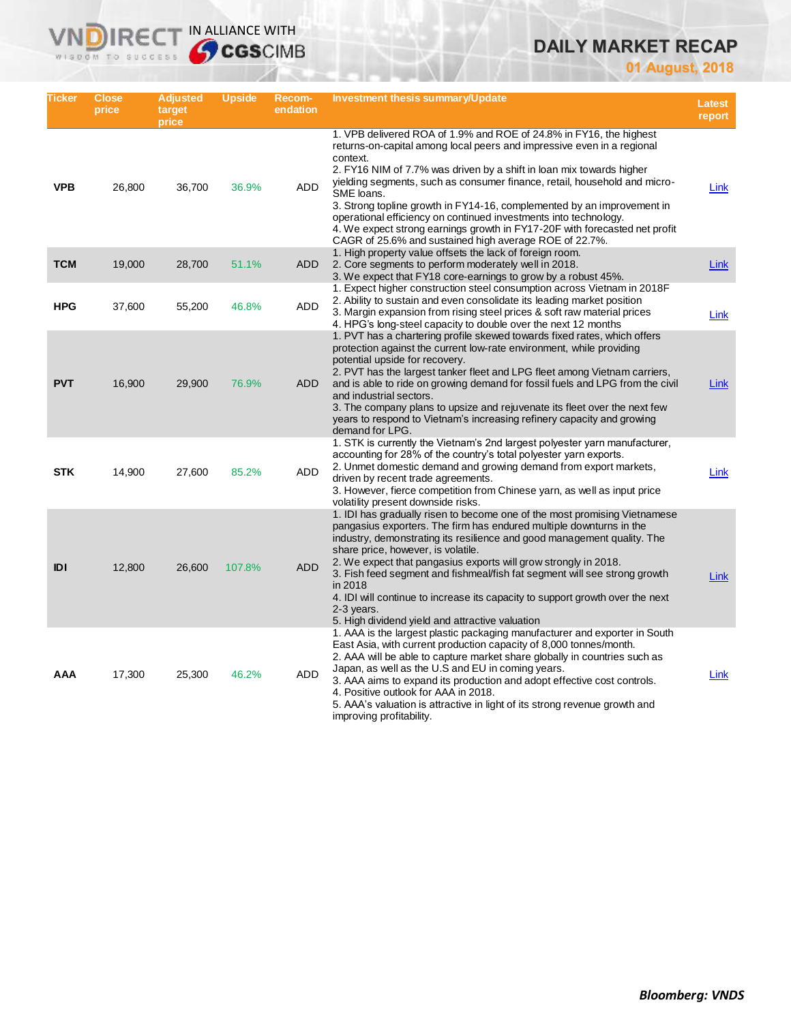# **DAILY MARKET RECAP**

**01 August, 2018**

| Ticker     | <b>Close</b><br>price | <b>Adjusted</b><br>target<br>price | <b>Upside</b> | Recom-<br>endation | <b>Investment thesis summary/Update</b>                                                                                                                                                                                                                                                                                                                                                                                                                                                                                                                                                                           | <b>Latest</b><br>report |
|------------|-----------------------|------------------------------------|---------------|--------------------|-------------------------------------------------------------------------------------------------------------------------------------------------------------------------------------------------------------------------------------------------------------------------------------------------------------------------------------------------------------------------------------------------------------------------------------------------------------------------------------------------------------------------------------------------------------------------------------------------------------------|-------------------------|
| <b>VPB</b> | 26,800                | 36,700                             | 36.9%         | <b>ADD</b>         | 1. VPB delivered ROA of 1.9% and ROE of 24.8% in FY16, the highest<br>returns-on-capital among local peers and impressive even in a regional<br>context.<br>2. FY16 NIM of 7.7% was driven by a shift in loan mix towards higher<br>yielding segments, such as consumer finance, retail, household and micro-<br>SME loans.<br>3. Strong topline growth in FY14-16, complemented by an improvement in<br>operational efficiency on continued investments into technology.<br>4. We expect strong earnings growth in FY17-20F with forecasted net profit<br>CAGR of 25.6% and sustained high average ROE of 22.7%. | Link                    |
| <b>TCM</b> | 19,000                | 28,700                             | 51.1%         | <b>ADD</b>         | 1. High property value offsets the lack of foreign room.<br>2. Core segments to perform moderately well in 2018.<br>3. We expect that FY18 core-earnings to grow by a robust 45%.                                                                                                                                                                                                                                                                                                                                                                                                                                 | Link                    |
| <b>HPG</b> | 37,600                | 55,200                             | 46.8%         | <b>ADD</b>         | 1. Expect higher construction steel consumption across Vietnam in 2018 F<br>2. Ability to sustain and even consolidate its leading market position<br>3. Margin expansion from rising steel prices & soft raw material prices<br>4. HPG's long-steel capacity to double over the next 12 months                                                                                                                                                                                                                                                                                                                   | Link                    |
| <b>PVT</b> | 16,900                | 29,900                             | 76.9%         | <b>ADD</b>         | 1. PVT has a chartering profile skewed towards fixed rates, which offers<br>protection against the current low-rate environment, while providing<br>potential upside for recovery.<br>2. PVT has the largest tanker fleet and LPG fleet among Vietnam carriers,<br>and is able to ride on growing demand for fossil fuels and LPG from the civil<br>and industrial sectors.<br>3. The company plans to upsize and rejuvenate its fleet over the next few<br>years to respond to Vietnam's increasing refinery capacity and growing<br>demand for LPG.                                                             | Link                    |
| <b>STK</b> | 14,900                | 27,600                             | 85.2%         | ADD                | 1. STK is currently the Vietnam's 2nd largest polyester yarn manufacturer,<br>accounting for 28% of the country's total polyester yarn exports.<br>2. Unmet domestic demand and growing demand from export markets,<br>driven by recent trade agreements.<br>3. However, fierce competition from Chinese yarn, as well as input price<br>volatility present downside risks.                                                                                                                                                                                                                                       | Link                    |
| <b>IDI</b> | 12,800                | 26,600                             | 107.8%        | <b>ADD</b>         | 1. IDI has gradually risen to become one of the most promising Vietnamese<br>pangasius exporters. The firm has endured multiple downturns in the<br>industry, demonstrating its resilience and good management quality. The<br>share price, however, is volatile.<br>2. We expect that pangasius exports will grow strongly in 2018.<br>3. Fish feed segment and fishmeal/fish fat segment will see strong growth<br>in 2018<br>4. IDI will continue to increase its capacity to support growth over the next<br>$2-3$ years.<br>5. High dividend yield and attractive valuation                                  | Link                    |
| AAA        | 17,300                | 25,300                             | 46.2%         | ADD                | 1. AAA is the largest plastic packaging manufacturer and exporter in South<br>East Asia, with current production capacity of 8,000 tonnes/month.<br>2. AAA will be able to capture market share globally in countries such as<br>Japan, as well as the U.S and EU in coming years.<br>3. AAA aims to expand its production and adopt effective cost controls.<br>4. Positive outlook for AAA in 2018.<br>5. AAA's valuation is attractive in light of its strong revenue growth and<br>improving profitability.                                                                                                   | Link                    |

**VNDIRECT IN ALLIANCE WITH**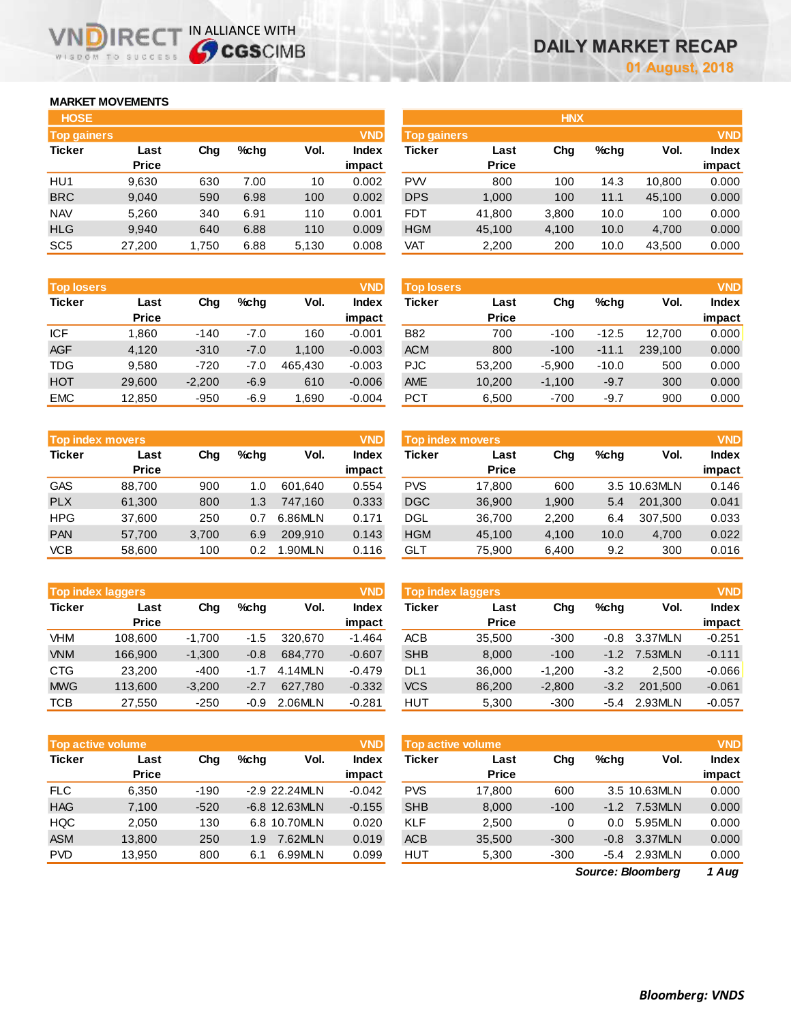# **MARKET MOVEMENTS**

WISDOM TO SUCCESS

IR<sub>E</sub>

| <b>HOSE</b>        |              |       |      |       |              |
|--------------------|--------------|-------|------|-------|--------------|
| <b>Top gainers</b> |              |       |      |       | <b>VND</b>   |
| <b>Ticker</b>      | Last         | Cha   | %chq | Vol.  | <b>Index</b> |
|                    | <b>Price</b> |       |      |       | impact       |
| HU1                | 9,630        | 630   | 7.00 | 10    | 0.002        |
| <b>BRC</b>         | 9.040        | 590   | 6.98 | 100   | 0.002        |
| <b>NAV</b>         | 5,260        | 340   | 6.91 | 110   | 0.001        |
| <b>HLG</b>         | 9.940        | 640   | 6.88 | 110   | 0.009        |
| SC <sub>5</sub>    | 27,200       | 1,750 | 6.88 | 5,130 | 0.008        |

IN ALLIANCE WITH

| <b>HOSE</b>        |              |       |         |       |              |                    |              | <b>HNX</b> |      |        |              |
|--------------------|--------------|-------|---------|-------|--------------|--------------------|--------------|------------|------|--------|--------------|
| <b>Top gainers</b> |              |       |         |       | <b>VND</b>   | <b>Top gainers</b> |              |            |      |        | <b>VND</b>   |
| Ticker             | Last         | Chg   | $%$ chq | Vol.  | <b>Index</b> | Ticker             | Last         | Chg        | %chg | Vol.   | <b>Index</b> |
|                    | <b>Price</b> |       |         |       | impact       |                    | <b>Price</b> |            |      |        | impact       |
| HU1                | 9,630        | 630   | 7.00    | 10    | 0.002        | <b>PW</b>          | 800          | 100        | 14.3 | 10.800 | 0.000        |
| <b>BRC</b>         | 9,040        | 590   | 6.98    | 100   | 0.002        | <b>DPS</b>         | 1,000        | 100        | 11.1 | 45,100 | 0.000        |
| <b>NAV</b>         | 5,260        | 340   | 6.91    | 110   | 0.001        | <b>FDT</b>         | 41,800       | 3,800      | 10.0 | 100    | 0.000        |
| <b>HLG</b>         | 9,940        | 640   | 6.88    | 110   | 0.009        | <b>HGM</b>         | 45,100       | 4,100      | 10.0 | 4,700  | 0.000        |
| SC <sub>5</sub>    | 27,200       | 1,750 | 6.88    | 5,130 | 0.008        | VAT                | 2,200        | 200        | 10.0 | 43,500 | 0.000        |
|                    |              |       |         |       |              |                    |              |            |      |        |              |

| <b>Top losers</b> |              |          |         |         | <b>VND</b>   |
|-------------------|--------------|----------|---------|---------|--------------|
| <b>Ticker</b>     | Last         | Cha      | $%$ chq | Vol.    | <b>Index</b> |
|                   | <b>Price</b> |          |         |         | impact       |
| <b>ICF</b>        | 1,860        | $-140$   | $-7.0$  | 160     | $-0.001$     |
| <b>AGF</b>        | 4.120        | $-310$   | $-7.0$  | 1,100   | $-0.003$     |
| <b>TDG</b>        | 9,580        | $-720$   | $-7.0$  | 465.430 | $-0.003$     |
| <b>HOT</b>        | 29,600       | $-2,200$ | $-6.9$  | 610     | $-0.006$     |
| <b>EMC</b>        | 12.850       | $-950$   | $-6.9$  | 1.690   | $-0.004$     |

| <b>VND</b><br><b>Top index movers</b> |              |       |         |         |              |  |  |  |  |  |
|---------------------------------------|--------------|-------|---------|---------|--------------|--|--|--|--|--|
| <b>Ticker</b>                         | Last         | Cha   | $%$ chq | Vol.    | <b>Index</b> |  |  |  |  |  |
|                                       | <b>Price</b> |       |         |         | impact       |  |  |  |  |  |
| <b>GAS</b>                            | 88,700       | 900   | 1.0     | 601.640 | 0.554        |  |  |  |  |  |
| <b>PLX</b>                            | 61,300       | 800   | 1.3     | 747.160 | 0.333        |  |  |  |  |  |
| <b>HPG</b>                            | 37,600       | 250   | 0.7     | 6.86MLN | 0.171        |  |  |  |  |  |
| <b>PAN</b>                            | 57,700       | 3,700 | 6.9     | 209.910 | 0.143        |  |  |  |  |  |
| VCB                                   | 58,600       | 100   | 0.2     | 1.90MLN | 0.116        |  |  |  |  |  |

| <b>Top index laggers</b> |              |          |        |         |              |  |  |  |  |
|--------------------------|--------------|----------|--------|---------|--------------|--|--|--|--|
| <b>Ticker</b>            | Last         | Cha      | %cha   | Vol.    | <b>Index</b> |  |  |  |  |
|                          | <b>Price</b> |          |        |         | impact       |  |  |  |  |
| VHM                      | 108,600      | $-1,700$ | $-1.5$ | 320.670 | $-1.464$     |  |  |  |  |
| <b>VNM</b>               | 166,900      | $-1,300$ | $-0.8$ | 684.770 | $-0.607$     |  |  |  |  |
| <b>CTG</b>               | 23,200       | $-400$   | $-1.7$ | 4.14MLN | $-0.479$     |  |  |  |  |
| <b>MWG</b>               | 113,600      | $-3,200$ | $-2.7$ | 627.780 | $-0.332$     |  |  |  |  |
| тсв                      | 27,550       | $-250$   | $-0.9$ | 2.06MLN | $-0.281$     |  |  |  |  |

|               | <b>Top active volume</b> |        |         |                 | <b>VND</b> |
|---------------|--------------------------|--------|---------|-----------------|------------|
| <b>Ticker</b> | Last                     | Cha    | $%$ chq | Vol.            | Index      |
|               | <b>Price</b>             |        |         |                 | impact     |
| <b>FLC</b>    | 6.350                    | $-190$ |         | -2.9 22.24MLN   | $-0.042$   |
| <b>HAG</b>    | 7,100                    | $-520$ |         | $-6.8$ 12.63MLN | $-0.155$   |
| <b>HQC</b>    | 2,050                    | 130    |         | 6.8 10.70MLN    | 0.020      |
| <b>ASM</b>    | 13,800                   | 250    | 1.9     | 7.62MLN         | 0.019      |
| <b>PVD</b>    | 13.950                   | 800    | 6.1     | 6.99MLN         | 0.099      |

| <b>Top losers</b> |              |          |         |         | <b>VND</b>   | <b>Top losers</b> |              |          |         |         | <b>VND</b>   |
|-------------------|--------------|----------|---------|---------|--------------|-------------------|--------------|----------|---------|---------|--------------|
| Ticker            | Last         | Chg      | $%$ chq | Vol.    | <b>Index</b> | Ticker            | Last         | Chg      | %chq    | Vol.    | <b>Index</b> |
|                   | <b>Price</b> |          |         |         | impact       |                   | <b>Price</b> |          |         |         | impact       |
| ICF               | .860         | $-140$   | $-7.0$  | 160     | $-0.001$     | <b>B82</b>        | 700          | $-100$   | $-12.5$ | 12.700  | 0.000        |
| <b>AGF</b>        | 4,120        | $-310$   | $-7.0$  | 1.100   | $-0.003$     | <b>ACM</b>        | 800          | $-100$   | $-11.1$ | 239.100 | 0.000        |
| TDG               | 9,580        | $-720$   | -7.0    | 465.430 | $-0.003$     | <b>PJC</b>        | 53.200       | $-5.900$ | $-10.0$ | 500     | 0.000        |
| HOT               | 29,600       | $-2,200$ | $-6.9$  | 610     | $-0.006$     | <b>AME</b>        | 10,200       | $-1.100$ | $-9.7$  | 300     | 0.000        |
| <b>EMC</b>        | 12.850       | $-950$   | $-6.9$  | .690    | $-0.004$     | <b>PCT</b>        | 6,500        | $-700$   | -9.7    | 900     | 0.000        |

| <b>Top index movers</b> |              |       |         |               | <b>VND</b> | <b>Top index movers</b> |              |       |         |              | <b>VND</b> |
|-------------------------|--------------|-------|---------|---------------|------------|-------------------------|--------------|-------|---------|--------------|------------|
| Ticker                  | Last         | Chg   | $%$ chq | Vol.          | Index      | Ticker                  | Last         | Chg   | $%$ chq | Vol.         | Index      |
|                         | <b>Price</b> |       |         |               | impact     |                         | <b>Price</b> |       |         |              | impact     |
| GAS                     | 88.700       | 900   | 1.0     | 601.640       | 0.554      | PVS                     | 17.800       | 600   |         | 3.5 10.63MLN | 0.146      |
| <b>PLX</b>              | 61.300       | 800   | 1.3     | 747.160       | 0.333      | <b>DGC</b>              | 36,900       | 1,900 | 5.4     | 201.300      | 0.041      |
| HPG                     | 37.600       | 250   | 0.7     | 6.86MLN       | 0.171      | DGL                     | 36.700       | 2.200 | 6.4     | 307.500      | 0.033      |
| PAN                     | 57.700       | 3,700 | 6.9     | 209,910       | 0.143      | <b>HGM</b>              | 45.100       | 4.100 | 10.0    | 4,700        | 0.022      |
| VCB                     | 58.600       | 100   | 0.2     | <b>.90MLN</b> | 0.116      | GLT                     | 75,900       | 6.400 | 9.2     | 300          | 0.016      |

|            | <b>Top index laggers</b> |          |         |         | <b>VND</b>      | <b>Top index laggers</b> |                      |          |         |         | <b>VND</b>      |
|------------|--------------------------|----------|---------|---------|-----------------|--------------------------|----------------------|----------|---------|---------|-----------------|
| Ticker     | Last<br><b>Price</b>     | Chg      | $%$ chq | Vol.    | Index<br>impact | Ticker                   | Last<br><b>Price</b> | Chg      | $%$ chq | Vol.    | Index<br>impact |
| VHM        | 108.600                  | $-1.700$ | $-1.5$  | 320.670 | $-1.464$        | ACB                      | 35.500               | $-300$   | $-0.8$  | 3.37MLN | $-0.251$        |
| <b>VNM</b> | 166.900                  | $-1.300$ | $-0.8$  | 684.770 | $-0.607$        | <b>SHB</b>               | 8,000                | $-100$   | $-1.2$  | 7.53MLN | $-0.111$        |
| CTG        | 23,200                   | $-400$   | $-1.7$  | 4.14MIN | $-0.479$        | DL1                      | 36,000               | $-1.200$ | $-3.2$  | 2.500   | $-0.066$        |
| <b>MWG</b> | 113,600                  | $-3.200$ | $-2.7$  | 627.780 | $-0.332$        | <b>VCS</b>               | 86,200               | $-2,800$ | $-3.2$  | 201.500 | $-0.061$        |
| тсв        | 27.550                   | $-250$   | $-0.9$  | 2.06MLN | $-0.281$        | <b>HUT</b>               | 5.300                | $-300$   | -5.4    | 2.93MLN | $-0.057$        |

| <b>Top active volume</b> |              |        |                 |                 | <b>VND</b> | <b>Top active volume</b> |              |        |         |              | <b>VND</b>   |
|--------------------------|--------------|--------|-----------------|-----------------|------------|--------------------------|--------------|--------|---------|--------------|--------------|
| Ticker                   | Last         | Chg    | $%$ chq         | Vol.            | Index      | <b>Ticker</b>            | Last         | Chg    | $%$ chq | Vol.         | <b>Index</b> |
|                          | <b>Price</b> |        |                 |                 | impact     |                          | <b>Price</b> |        |         |              | impact       |
| FLC.                     | 6.350        | $-190$ | $-2.9$ 22.24MLN |                 | $-0.042$   | <b>PVS</b>               | 17.800       | 600    |         | 3.5 10.63MLN | 0.000        |
| <b>HAG</b>               | 7.100        | $-520$ |                 | $-6.8$ 12.63MLN | $-0.155$   | <b>SHB</b>               | 8.000        | $-100$ | $-1.2$  | 7.53MLN      | 0.000        |
| HQC.                     | 2.050        | 130    |                 | 6.8 10.70MLN    | 0.020      | KLF                      | 2.500        | 0      | 0.0     | 5.95MLN      | 0.000        |
| ASM                      | 13.800       | 250    | 1.9             | 7.62MLN         | 0.019      | <b>ACB</b>               | 35,500       | $-300$ | $-0.8$  | 3.37MLN      | 0.000        |
| <b>PVD</b>               | 13.950       | 800    | 6.1             | 6.99MLN         | 0.099      | <b>HUT</b>               | 5,300        | $-300$ | -5.4    | 2.93MLN      | 0.000        |
|                          |              |        |                 |                 |            |                          |              |        |         |              |              |

*1 Aug Source: Bloomberg*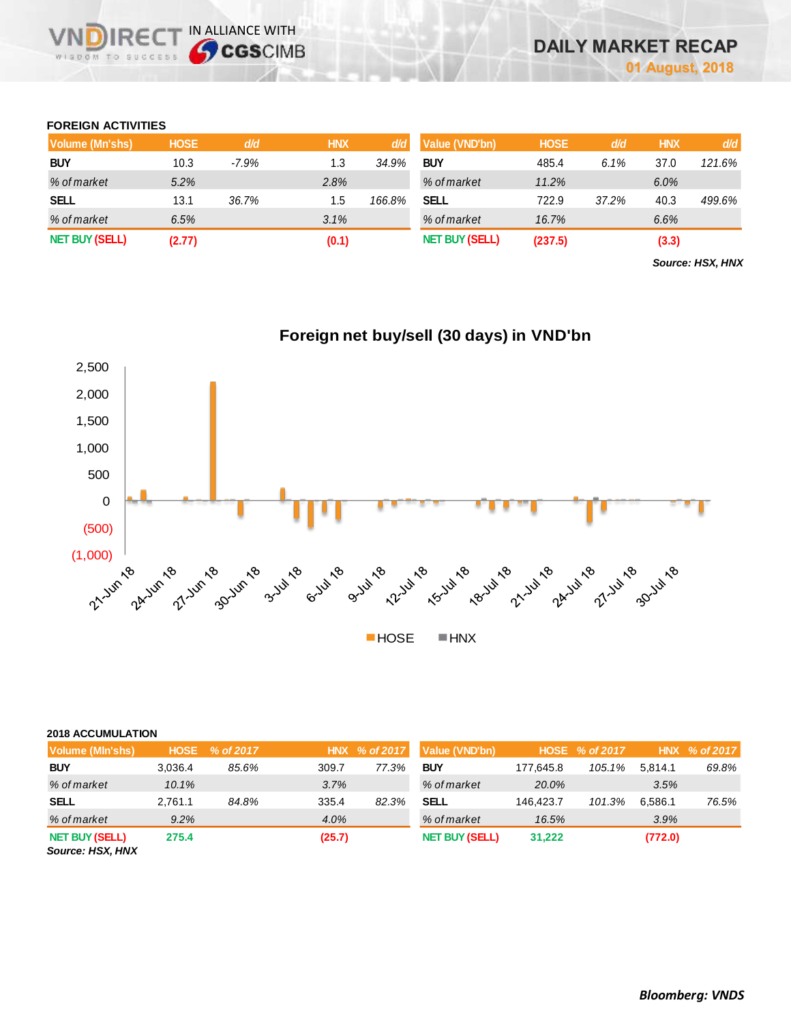## **FOREIGN ACTIVITIES**

**DIRE** WISDOM TO SUCCESS

IN ALLIANCE WITH

| Volume (Mn'shs)       | <b>HOSE</b> | d/d      | <b>HNX</b> | d/d    | Value (VND'bn)        | <b>HOSE</b> | d/d   | <b>HNX</b> | d/d    |
|-----------------------|-------------|----------|------------|--------|-----------------------|-------------|-------|------------|--------|
| <b>BUY</b>            | 10.3        | $-7.9\%$ | 1.3        | 34.9%  | <b>BUY</b>            | 485.4       | 6.1%  | 37.0       | 121.6% |
| % of market           | 5.2%        |          | 2.8%       |        | % of market           | 11.2%       |       | 6.0%       |        |
| <b>SELL</b>           | 13.1        | 36.7%    | 1.5        | 166.8% | SELL                  | 722.9       | 37.2% | 40.3       | 499.6% |
| % of market           | 6.5%        |          | 3.1%       |        | % of market           | 16.7%       |       | 6.6%       |        |
| <b>NET BUY (SELL)</b> | (2.77)      |          | (0.1)      |        | <b>NET BUY (SELL)</b> | (237.5)     |       | (3.3)      |        |

*Source: HSX, HNX*



## **2018 ACCUMULATION**

| Volume (MIn'shs)                          | <b>HOSE</b> | % of 2017 |        | HNX % of 2017 | Value (VND'bn)        |           | HOSE % of 2017 |         | $HNX \% of 2017$ |
|-------------------------------------------|-------------|-----------|--------|---------------|-----------------------|-----------|----------------|---------|------------------|
| <b>BUY</b>                                | 3.036.4     | 85.6%     | 309.7  | 77.3%         | <b>BUY</b>            | 177.645.8 | 105.1%         | 5.814.1 | 69.8%            |
| % of market                               | 10.1%       |           | 3.7%   |               | % of market           | 20.0%     |                | 3.5%    |                  |
| <b>SELL</b>                               | 2.761.1     | 84.8%     | 335.4  | 82.3%         | <b>SELL</b>           | 146.423.7 | 101.3%         | 6.586.1 | 76.5%            |
| % of market                               | 9.2%        |           | 4.0%   |               | % of market           | 16.5%     |                | 3.9%    |                  |
| <b>NET BUY (SELL)</b><br>Source: HSX, HNX | 275.4       |           | (25.7) |               | <b>NET BUY (SELL)</b> | 31,222    |                | (772.0) |                  |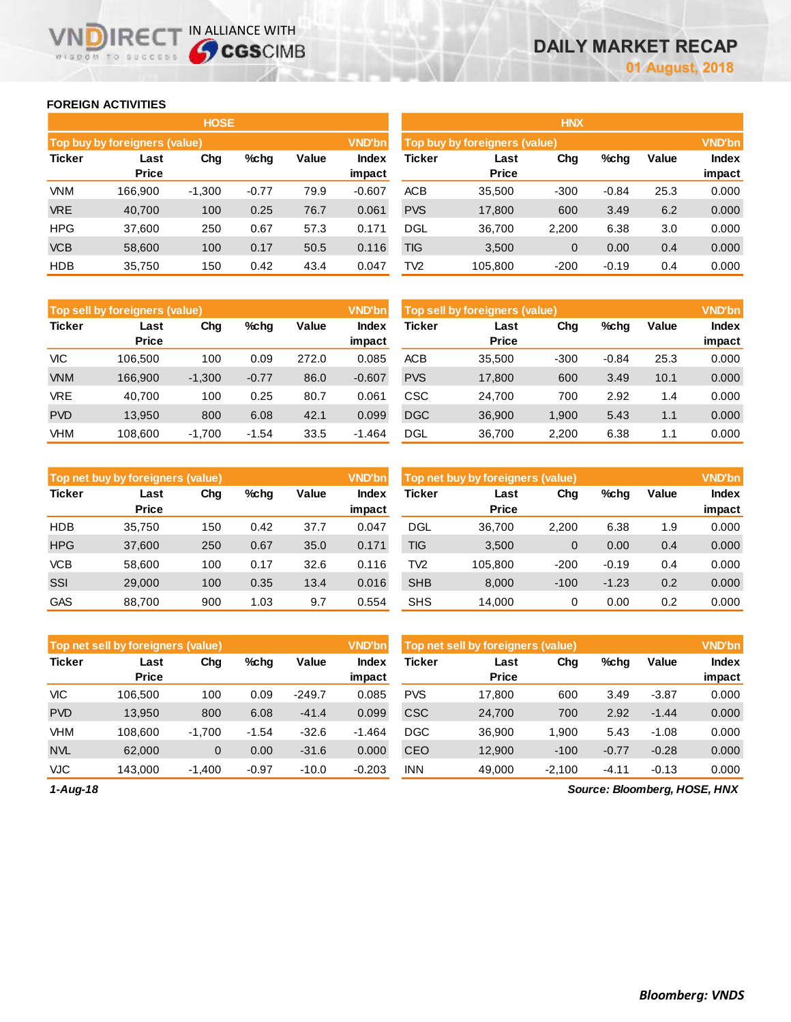## **FOREIGN ACTIVITIES**

**VNDIRECT IN ALLIANCE WITH** 

|               |                               | <b>HOSE</b> |         |       |                 |                 |                               | <b>HNX</b>     |         |       |                        |
|---------------|-------------------------------|-------------|---------|-------|-----------------|-----------------|-------------------------------|----------------|---------|-------|------------------------|
|               | Top buy by foreigners (value) |             |         |       | <b>VND'bn</b>   |                 | Top buy by foreigners (value) |                |         |       | <b>VND'bn</b>          |
| <b>Ticker</b> | Last<br><b>Price</b>          | Chg         | %chg    | Value | Index<br>impact | <b>Ticker</b>   | Last<br><b>Price</b>          | Chg            | %chg    | Value | <b>Index</b><br>impact |
| <b>VNM</b>    | 166.900                       | $-1,300$    | $-0.77$ | 79.9  | $-0.607$        | <b>ACB</b>      | 35,500                        | $-300$         | $-0.84$ | 25.3  | 0.000                  |
| <b>VRE</b>    | 40,700                        | 100         | 0.25    | 76.7  | 0.061           | <b>PVS</b>      | 17,800                        | 600            | 3.49    | 6.2   | 0.000                  |
| <b>HPG</b>    | 37,600                        | 250         | 0.67    | 57.3  | 0.171           | <b>DGL</b>      | 36,700                        | 2,200          | 6.38    | 3.0   | 0.000                  |
| <b>VCB</b>    | 58,600                        | 100         | 0.17    | 50.5  | 0.116           | <b>TIG</b>      | 3,500                         | $\overline{0}$ | 0.00    | 0.4   | 0.000                  |
| <b>HDB</b>    | 35,750                        | 150         | 0.42    | 43.4  | 0.047           | TV <sub>2</sub> | 105,800                       | $-200$         | $-0.19$ | 0.4   | 0.000                  |

|               | <b>Top sell by foreigners (value)</b> |          |         |       | <b>VND'bn</b>   |               | Top sell by foreigners (value) |        |         |       | <b>VND'bn</b>          |
|---------------|---------------------------------------|----------|---------|-------|-----------------|---------------|--------------------------------|--------|---------|-------|------------------------|
| <b>Ticker</b> | Last<br><b>Price</b>                  | Chg      | %chg    | Value | Index<br>impact | <b>Ticker</b> | Last<br><b>Price</b>           | Chg    | $%$ chg | Value | <b>Index</b><br>impact |
| VIC           | 106.500                               | 100      | 0.09    | 272.0 | 0.085           | <b>ACB</b>    | 35.500                         | $-300$ | $-0.84$ | 25.3  | 0.000                  |
| <b>VNM</b>    | 166,900                               | $-1,300$ | $-0.77$ | 86.0  | $-0.607$        | <b>PVS</b>    | 17,800                         | 600    | 3.49    | 10.1  | 0.000                  |
| <b>VRE</b>    | 40.700                                | 100      | 0.25    | 80.7  | 0.061           | <b>CSC</b>    | 24.700                         | 700    | 2.92    | 1.4   | 0.000                  |
| <b>PVD</b>    | 13.950                                | 800      | 6.08    | 42.1  | 0.099           | <b>DGC</b>    | 36,900                         | 1,900  | 5.43    | 1.1   | 0.000                  |
| VHM           | 108,600                               | $-1.700$ | $-1.54$ | 33.5  | $-1.464$        | <b>DGL</b>    | 36,700                         | 2,200  | 6.38    | 1.1   | 0.000                  |

|               | Top net buy by foreigners (value) |     |      |       | <b>VND'bn</b>   |            | Top net buy by foreigners (value) |        |         |       | <b>VND'bn</b>   |
|---------------|-----------------------------------|-----|------|-------|-----------------|------------|-----------------------------------|--------|---------|-------|-----------------|
| <b>Ticker</b> | Last<br><b>Price</b>              | Chg | %chg | Value | Index<br>impact | Ticker     | Last<br><b>Price</b>              | Chg    | %chg    | Value | Index<br>impact |
| <b>HDB</b>    | 35,750                            | 150 | 0.42 | 37.7  | 0.047           | <b>DGL</b> | 36.700                            | 2.200  | 6.38    | 1.9   | 0.000           |
| <b>HPG</b>    | 37,600                            | 250 | 0.67 | 35.0  | 0.171           | TIG        | 3,500                             | 0      | 0.00    | 0.4   | 0.000           |
| <b>VCB</b>    | 58.600                            | 100 | 0.17 | 32.6  | 0.116           | TV2        | 105.800                           | $-200$ | $-0.19$ | 0.4   | 0.000           |
| SSI           | 29,000                            | 100 | 0.35 | 13.4  | 0.016           | <b>SHB</b> | 8.000                             | $-100$ | $-1.23$ | 0.2   | 0.000           |
| <b>GAS</b>    | 88.700                            | 900 | 1.03 | 9.7   | 0.554           | <b>SHS</b> | 14.000                            | 0      | 0.00    | 0.2   | 0.000           |

|               | Top net sell by foreigners (value) |          |         |          | <b>VND'bn</b>   |            | Top net sell by foreigners (value) |          |         |         | <b>VND'bn</b>   |  |  |
|---------------|------------------------------------|----------|---------|----------|-----------------|------------|------------------------------------|----------|---------|---------|-----------------|--|--|
| <b>Ticker</b> | Last<br><b>Price</b>               | Chg      | %chq    | Value    | Index<br>impact | Ticker     | Last<br><b>Price</b>               | Chg      | %chg    | Value   | Index<br>impact |  |  |
| VIC           | 106.500                            | 100      | 0.09    | $-249.7$ | 0.085           | <b>PVS</b> | 17.800                             | 600      | 3.49    | $-3.87$ | 0.000           |  |  |
| <b>PVD</b>    | 13,950                             | 800      | 6.08    | $-41.4$  | 0.099           | <b>CSC</b> | 24,700                             | 700      | 2.92    | $-1.44$ | 0.000           |  |  |
| <b>VHM</b>    | 108.600                            | $-1.700$ | $-1.54$ | $-32.6$  | $-1.464$        | <b>DGC</b> | 36,900                             | 1.900    | 5.43    | $-1.08$ | 0.000           |  |  |
| <b>NVL</b>    | 62,000                             | 0        | 0.00    | $-31.6$  | 0.000           | <b>CEO</b> | 12,900                             | $-100$   | $-0.77$ | $-0.28$ | 0.000           |  |  |
| VJC           | 143.000                            | $-1,400$ | $-0.97$ | $-10.0$  | $-0.203$        | <b>INN</b> | 49,000                             | $-2,100$ | $-4.11$ | $-0.13$ | 0.000           |  |  |

*1-Aug-18*

*Source: Bloomberg, HOSE, HNX*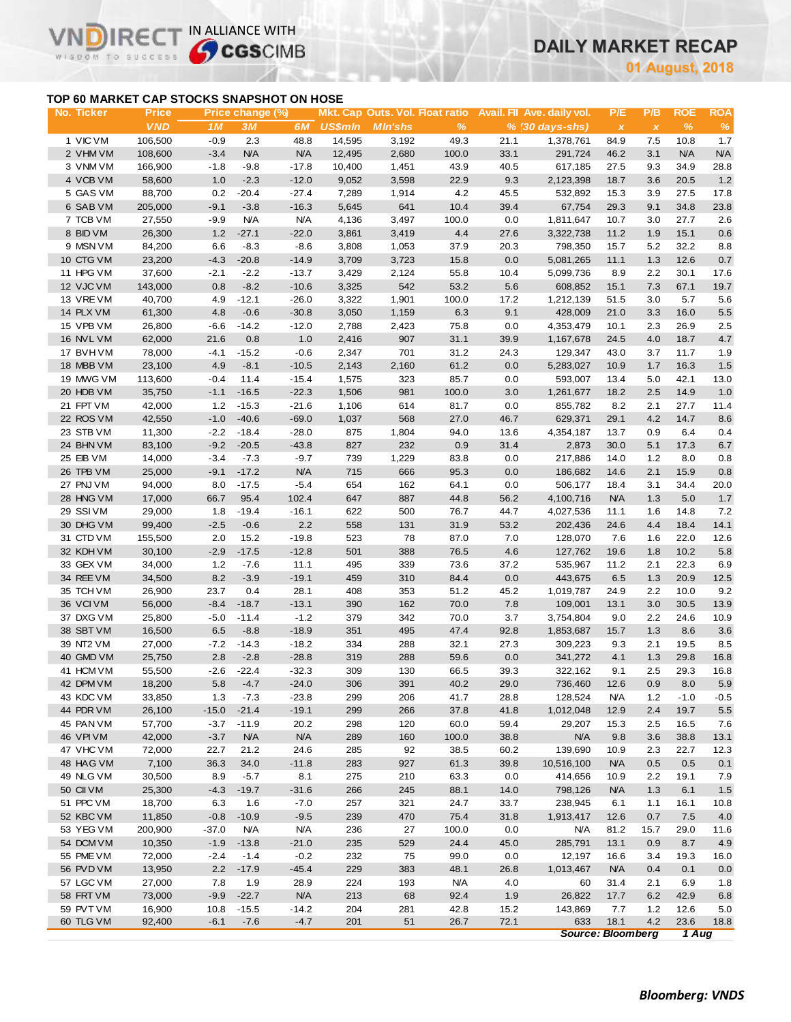# **DAILY MARKET RECAP**

**August, 2018**

## **TOP 60 MARKET CAP STOCKS SNAPSHOT ON HOSE**

 $IRF($ 

WISDOM TO SUCCESS

 $\vee$ 

IN ALLIANCE WITH

| No. Ticker             | Price            |             | Price change (%) |                 |                |                 |               |             | Mkt. Cap Outs. Vol. Float ratio Avail. Fil Ave. daily vol. | P/E                       | P/B          | <b>ROE</b>    | <b>ROA</b>  |
|------------------------|------------------|-------------|------------------|-----------------|----------------|-----------------|---------------|-------------|------------------------------------------------------------|---------------------------|--------------|---------------|-------------|
|                        | <b>VND</b>       | 1M          | 3M               | 6M              | <b>US\$mln</b> | <b>M</b> In'shs | $\frac{9}{6}$ |             | $% (30 days-shs)$                                          | $\boldsymbol{\mathsf{x}}$ | $\pmb{\chi}$ | $\frac{9}{6}$ | $\%$        |
| 1 VIC VM               | 106,500          | $-0.9$      | 2.3              | 48.8            | 14,595         | 3,192           | 49.3          | 21.1        | 1,378,761                                                  | 84.9                      | 7.5          | 10.8          | 1.7         |
| 2 VHM VM               | 108,600          | $-3.4$      | <b>N/A</b>       | <b>N/A</b>      | 12,495         | 2,680           | 100.0         | 33.1        | 291,724                                                    | 46.2                      | 3.1          | <b>N/A</b>    | N/A         |
| 3 VNM VM               | 166,900          | $-1.8$      | $-9.8$           | $-17.8$         | 10,400         | 1,451           | 43.9          | 40.5        | 617,185                                                    | 27.5                      | 9.3          | 34.9          | 28.8        |
| 4 VCB VM               | 58,600           | 1.0         | $-2.3$           | $-12.0$         | 9,052          | 3,598           | 22.9          | 9.3         | 2,123,398                                                  | 18.7                      | 3.6          | 20.5          | 1.2         |
| 5 GAS VM               | 88,700           | 0.2         | $-20.4$          | $-27.4$         | 7,289          | 1,914           | 4.2           | 45.5        | 532,892                                                    | 15.3                      | 3.9          | 27.5          | 17.8        |
| 6 SAB VM               | 205,000          | $-9.1$      | $-3.8$           | $-16.3$         | 5,645          | 641             | 10.4          | 39.4        | 67,754                                                     | 29.3                      | 9.1          | 34.8          | 23.8        |
| 7 TCB VM               | 27,550           | $-9.9$      | <b>N/A</b>       | <b>N/A</b>      | 4,136          | 3,497           | 100.0         | 0.0         | 1,811,647                                                  | 10.7                      | 3.0          | 27.7          | 2.6         |
| 8 BID VM               | 26,300           | 1.2         | $-27.1$          | $-22.0$         | 3,861          | 3,419           | 4.4           | 27.6        | 3,322,738                                                  | 11.2                      | 1.9          | 15.1          | 0.6         |
| 9 MSN VM               | 84,200           | 6.6         | $-8.3$           | $-8.6$          | 3,808          | 1,053           | 37.9          | 20.3        | 798,350                                                    | 15.7                      | 5.2          | 32.2          | 8.8         |
| 10 CTG VM              | 23,200           | $-4.3$      | $-20.8$          | $-14.9$         | 3,709          | 3,723           | 15.8          | 0.0         | 5,081,265                                                  | 11.1                      | 1.3          | 12.6          | 0.7         |
| 11 HPG VM              | 37,600           | $-2.1$      | $-2.2$           | $-13.7$         | 3,429          | 2,124           | 55.8          | 10.4        | 5,099,736                                                  | 8.9                       | 2.2          | 30.1          | 17.6        |
| 12 VJC VM              | 143,000          | 0.8         | $-8.2$           | $-10.6$         | 3,325          | 542             | 53.2          | 5.6         | 608,852                                                    | 15.1                      | $7.3$        | 67.1          | 19.7        |
| 13 VRE VM              | 40,700           | 4.9         | $-12.1$          | $-26.0$         | 3,322          | 1,901           | 100.0         | 17.2        | 1,212,139                                                  | 51.5                      | 3.0          | 5.7           | 5.6         |
| 14 PLX VM              | 61,300           | 4.8         | $-0.6$           | $-30.8$         | 3,050          | 1,159           | 6.3           | 9.1         | 428,009                                                    | 21.0                      | 3.3          | 16.0          | 5.5         |
| 15 VPB VM              | 26,800           | $-6.6$      | $-14.2$          | $-12.0$         | 2,788          | 2,423           | 75.8          | 0.0         | 4,353,479                                                  | 10.1                      | 2.3          | 26.9          | 2.5         |
| 16 NVL VM              | 62,000           | 21.6        | 0.8              | 1.0             | 2,416          | 907             | 31.1          | 39.9        | 1,167,678                                                  | 24.5                      | 4.0          | 18.7          | 4.7         |
| 17 BVH VM              | 78,000           | $-4.1$      | $-15.2$          | $-0.6$          | 2,347          | 701             | 31.2          | 24.3        | 129,347                                                    | 43.0                      | 3.7          | 11.7          | 1.9         |
| 18 MBB VM              | 23,100           | 4.9         | $-8.1$           | $-10.5$         | 2,143          | 2,160           | 61.2          | 0.0         | 5,283,027                                                  | 10.9                      | 1.7          | 16.3          | $1.5$       |
| 19 MWG VM              | 113,600          | $-0.4$      | 11.4             | $-15.4$         | 1,575          | 323             | 85.7          | 0.0         | 593,007                                                    | 13.4                      | 5.0          | 42.1          | 13.0        |
| 20 HDB VM              | 35,750           | $-1.1$      | $-16.5$          | $-22.3$         | 1,506          | 981             | 100.0         | 3.0         | 1,261,677                                                  | 18.2                      | 2.5          | 14.9          | 1.0         |
| 21 FPT VM              | 42,000           | 1.2         | $-15.3$          | $-21.6$         | 1,106          | 614             | 81.7          | 0.0         | 855,782                                                    | 8.2                       | 2.1          | 27.7          | 11.4        |
| 22 ROS VM              | 42,550           | $-1.0$      | $-40.6$          | $-69.0$         | 1,037          | 568             | 27.0          | 46.7        | 629,371                                                    | 29.1                      | 4.2          | 14.7          | 8.6         |
| 23 STB VM              | 11,300           | $-2.2$      | $-18.4$          | $-28.0$         | 875            | 1,804           | 94.0          | 13.6        | 4,354,187                                                  | 13.7                      | 0.9          | 6.4           | 0.4         |
| 24 BHN VM              | 83,100           | $-9.2$      | $-20.5$          | $-43.8$         | 827            | 232             | 0.9           | 31.4        | 2,873                                                      | 30.0                      | 5.1          | 17.3          | 6.7         |
| 25 EIB VM              | 14,000           | $-3.4$      | $-7.3$           | $-9.7$          | 739            | 1,229           | 83.8          | 0.0         | 217,886                                                    | 14.0                      | 1.2          | 8.0           | 0.8         |
| 26 TPB VM              | 25,000           | $-9.1$      | $-17.2$          | <b>N/A</b>      | 715            | 666             | 95.3          | 0.0         | 186,682                                                    | 14.6                      | 2.1          | 15.9          | $0.8\,$     |
| 27 PNJ VM              | 94,000           | 8.0         | $-17.5$          | $-5.4$          | 654            | 162             | 64.1          | 0.0         | 506,177                                                    | 18.4                      | 3.1          | 34.4          | 20.0        |
| 28 HNG VM              | 17,000           | 66.7        | 95.4             | 102.4           | 647            | 887             | 44.8          | 56.2        | 4,100,716                                                  | <b>N/A</b>                | 1.3          | 5.0           | $1.7$       |
| 29 SSIVM               | 29,000           | 1.8         | $-19.4$          | $-16.1$         | 622            | 500             | 76.7          | 44.7        | 4,027,536                                                  | 11.1                      | 1.6          | 14.8          | 7.2         |
| 30 DHG VM              | 99,400           | $-2.5$      | $-0.6$           | $2.2\,$         | 558            | 131             | 31.9          | 53.2        | 202,436                                                    | 24.6                      | 4.4          | 18.4          | 14.1        |
| 31 CTD VM              | 155,500          | 2.0         | 15.2             | $-19.8$         | 523            | 78              | 87.0          | 7.0         | 128,070                                                    | 7.6                       | 1.6          | 22.0          | 12.6        |
| 32 KDH VM              | 30,100           | $-2.9$      | $-17.5$          | $-12.8$         | 501            | 388             | 76.5          | 4.6         | 127,762                                                    | 19.6                      | 1.8          | 10.2          | 5.8         |
| 33 GEX VM              | 34,000           | 1.2         | $-7.6$           | 11.1            | 495<br>459     | 339<br>310      | 73.6          | 37.2<br>0.0 | 535,967                                                    | 11.2                      | 2.1          | 22.3          | 6.9         |
| 34 REE VM<br>35 TCH VM | 34,500<br>26,900 | 8.2<br>23.7 | $-3.9$<br>0.4    | $-19.1$<br>28.1 | 408            | 353             | 84.4<br>51.2  | 45.2        | 443,675                                                    | 6.5                       | 1.3          | 20.9<br>10.0  | 12.5<br>9.2 |
| 36 VCIVM               | 56,000           | $-8.4$      | $-18.7$          | $-13.1$         | 390            | 162             | 70.0          | 7.8         | 1,019,787<br>109,001                                       | 24.9<br>13.1              | 2.2<br>3.0   | 30.5          | 13.9        |
| 37 DXG VM              | 25,800           | $-5.0$      | $-11.4$          | $-1.2$          | 379            | 342             | 70.0          | 3.7         | 3,754,804                                                  | 9.0                       | 2.2          | 24.6          | 10.9        |
| 38 SBT VM              | 16,500           | 6.5         | $-8.8$           | $-18.9$         | 351            | 495             | 47.4          | 92.8        | 1,853,687                                                  | 15.7                      | 1.3          | 8.6           | 3.6         |
| 39 NT2 VM              | 27,000           | $-7.2$      | $-14.3$          | $-18.2$         | 334            | 288             | 32.1          | 27.3        | 309,223                                                    | 9.3                       | 2.1          | 19.5          | 8.5         |
| 40 GMD VM              | 25,750           | 2.8         | $-2.8$           | $-28.8$         | 319            | 288             | 59.6          | 0.0         | 341,272                                                    | 4.1                       | 1.3          | 29.8          | 16.8        |
| 41 HCM VM              | 55,500           | $-2.6$      | $-22.4$          | $-32.3$         | 309            | 130             | 66.5          | 39.3        | 322,162                                                    | 9.1                       | 2.5          | 29.3          | 16.8        |
| 42 DPM VM              | 18,200           |             | $5.8 -4.7$       | $-24.0$         | 306            | 391             | 40.2          | 29.0        | 736,460                                                    | 12.6                      | 0.9          | 8.0           | $5.9$       |
| 43 KDC VM              | 33,850           | 1.3         | $-7.3$           | $-23.8$         | 299            | 206             | 41.7          | 28.8        | 128,524                                                    | <b>N/A</b>                | $1.2$        | $-1.0$        | $-0.5$      |
| 44 PDR VM              | 26,100           | $-15.0$     | $-21.4$          | $-19.1$         | 299            | 266             | 37.8          | 41.8        | 1,012,048                                                  | 12.9                      | 2.4          | 19.7          | 5.5         |
| 45 PAN VM              | 57,700           | $-3.7$      | $-11.9$          | 20.2            | 298            | 120             | 60.0          | 59.4        | 29,207                                                     | 15.3                      | 2.5          | 16.5          | 7.6         |
| 46 VPIVM               | 42,000           | $-3.7$      | <b>N/A</b>       | <b>N/A</b>      | 289            | 160             | 100.0         | 38.8        | <b>N/A</b>                                                 | 9.8                       | 3.6          | 38.8          | 13.1        |
| 47 VHC VM              | 72,000           | 22.7        | 21.2             | 24.6            | 285            | 92              | 38.5          | 60.2        | 139,690                                                    | 10.9                      | 2.3          | 22.7          | 12.3        |
| 48 HAG VM              | 7,100            | 36.3        | 34.0             | $-11.8$         | 283            | 927             | 61.3          | 39.8        | 10,516,100                                                 | <b>N/A</b>                | 0.5          | 0.5           | 0.1         |
| 49 NLG VM              | 30,500           | 8.9         | $-5.7$           | 8.1             | 275            | 210             | 63.3          | 0.0         | 414,656                                                    | 10.9                      | 2.2          | 19.1          | 7.9         |
| 50 CII VM              | 25,300           | $-4.3$      | $-19.7$          | $-31.6$         | 266            | 245             | 88.1          | 14.0        | 798,126                                                    | <b>N/A</b>                | 1.3          | 6.1           | 1.5         |
| 51 PPC VM              | 18,700           | 6.3         | 1.6              | $-7.0$          | 257            | 321             | 24.7          | 33.7        | 238,945                                                    | 6.1                       | 1.1          | 16.1          | 10.8        |
| 52 KBC VM              | 11,850           | $-0.8$      | $-10.9$          | $-9.5$          | 239            | 470             | 75.4          | 31.8        | 1,913,417                                                  | 12.6                      | 0.7          | 7.5           | 4.0         |
| 53 YEG VM              | 200,900          | $-37.0$     | <b>N/A</b>       | <b>N/A</b>      | 236            | 27              | 100.0         | 0.0         | <b>N/A</b>                                                 | 81.2                      | 15.7         | 29.0          | 11.6        |
| 54 DCM VM              | 10,350           | $-1.9$      | $-13.8$          | $-21.0$         | 235            | 529             | 24.4          | 45.0        | 285,791                                                    | 13.1                      | 0.9          | 8.7           | 4.9         |
| 55 PME VM              | 72,000           | $-2.4$      | $-1.4$           | $-0.2$          | 232            | 75              | 99.0          | 0.0         | 12,197                                                     | 16.6                      | 3.4          | 19.3          | 16.0        |
| 56 PVD VM              | 13,950           | 2.2         | $-17.9$          | $-45.4$         | 229            | 383             | 48.1          | 26.8        | 1,013,467                                                  | <b>N/A</b>                | 0.4          | 0.1           | 0.0         |
| 57 LGC VM              | 27,000           | 7.8         | 1.9              | 28.9            | 224            | 193             | N/A           | 4.0         | 60                                                         | 31.4                      | 2.1          | 6.9           | 1.8         |
| 58 FRT VM              | 73,000           | $-9.9$      | $-22.7$          | N/A             | 213            | 68              | 92.4          | 1.9         | 26,822                                                     | 17.7                      | $6.2\,$      | 42.9          | 6.8         |
| 59 PVT VM              | 16,900           | 10.8        | $-15.5$          | $-14.2$         | 204            | 281             | 42.8          | 15.2        | 143,869                                                    | 7.7                       | $1.2$        | 12.6          | 5.0         |
| 60 TLG VM              | 92,400           | $-6.1$      | $-7.6$           | $-4.7$          | 201            | 51              | 26.7          | 72.1        | 633                                                        | 18.1                      | 4.2          | 23.6          | 18.8        |
|                        |                  |             |                  |                 |                |                 |               |             | <b>Source: Bloomberg</b>                                   |                           |              | 1 Aug         |             |